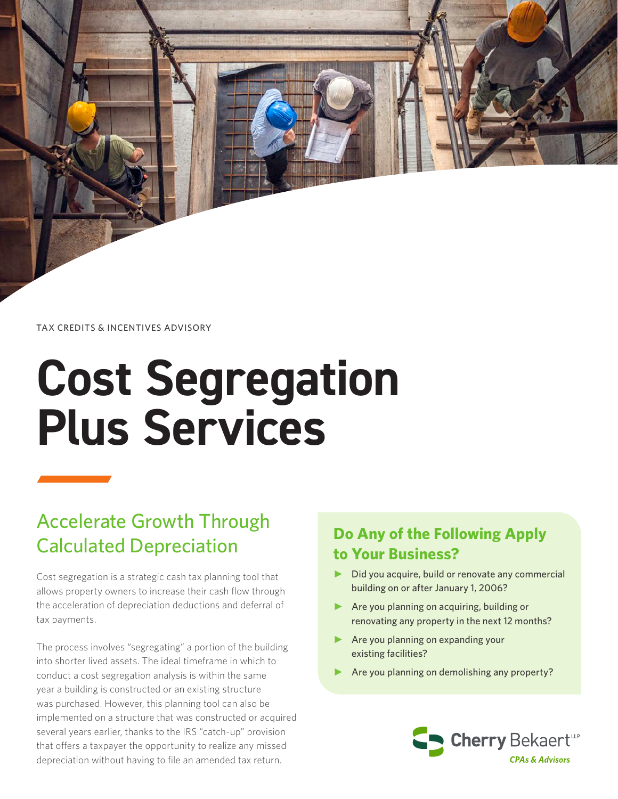TAX CREDITS & INCENTIVES ADVISORY

# **Cost Segregation Plus Services**

## Accelerate Growth Through Calculated Depreciation

Cost segregation is a strategic cash tax planning tool that allows property owners to increase their cash flow through the acceleration of depreciation deductions and deferral of tax payments.

The process involves "segregating" a portion of the building into shorter lived assets. The ideal timeframe in which to conduct a cost segregation analysis is within the same year a building is constructed or an existing structure was purchased. However, this planning tool can also be implemented on a structure that was constructed or acquired several years earlier, thanks to the IRS "catch-up" provision that offers a taxpayer the opportunity to realize any missed depreciation without having to file an amended tax return.

## **Do Any of the Following Apply to Your Business?**

- Did you acquire, build or renovate any commercial building on or after January 1, 2006?
- ► Are you planning on acquiring, building or renovating any property in the next 12 months?
- ► Are you planning on expanding your existing facilities?
- Are you planning on demolishing any property?